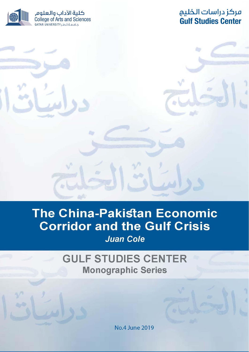كلية الآداب والعلوم College of Arts and Sciences

# مركز دراسات الخليج **Gulf Studies Center**

# The China-Pakistan Economic **Corridor and the Gulf Crisis**

**Juan Cole** 

**GULF STUDIES CENTER Monographic Series** 

No.4 June 2019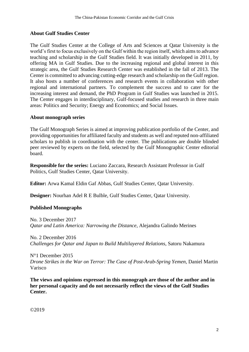# **About Gulf Studies Center**

The Gulf Studies Center at the College of Arts and Sciences at Qatar University is the world's first to focus exclusively on the Gulf within the region itself, which aims to advance teaching and scholarship in the Gulf Studies field. It was initially developed in 2011, by offering MA in Gulf Studies. Due to the increasing regional and global interest in this strategic area, the Gulf Studies Research Center was established in the fall of 2013. The Center is committed to advancing cutting-edge research and scholarship on the Gulf region. It also hosts a number of conferences and research events in collaboration with other regional and international partners. To complement the success and to cater for the increasing interest and demand, the PhD Program in Gulf Studies was launched in 2015. The Center engages in interdisciplinary, Gulf-focused studies and research in three main areas: Politics and Security; Energy and Economics; and Social Issues.

# **About monograph series**

The Gulf Monograph Series is aimed at improving publication portfolio of the Center, and providing opportunities for affiliated faculty and students as well and reputed non-affiliated scholars to publish in coordination with the center. The publications are double blinded peer reviewed by experts on the field, selected by the Gulf Monographic Center editorial board.

**Responsible for the series:** Luciano Zaccara, Research Assistant Professor in Gulf Politics, Gulf Studies Center, Qatar University.

**Editor:** Arwa Kamal Eldin Gaf Abbas, Gulf Studies Center, Qatar University.

**Designer:** Nourhan Adel R E Bulble, Gulf Studies Center, Qatar University.

# **Published Monographs**

No. 3 December 2017 *Qatar and Latin America: Narrowing the Distance*, Alejandra Galindo Merines

No. 2 December 2016 *Challenges for Qatar and Japan to Build Multilayered Relations*, Satoru Nakamura

N°1 December 2015 *Drone Strikes in the War on Terror: The Case of Post-Arab-Spring Yemen*, Daniel Martin Varisco

**The views and opinions expressed in this monograph are those of the author and in her personal capacity and do not necessarily reflect the views of the Gulf Studies Center.**

©2019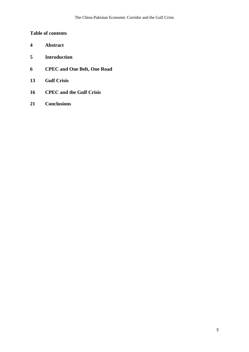# **Table of contents**

- **4 Abstract**
- **5 Introduction**
- **6 CPEC and One Belt, One Road**
- **13 Gulf Crisis**
- **16 CPEC and the Gulf Crisis**
- **21 Conclusions**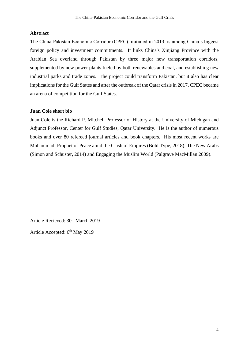#### **Abstract**

The China-Pakistan Economic Corridor (CPEC), initialed in 2013, is among China's biggest foreign policy and investment commitments. It links China's Xinjiang Province with the Arabian Sea overland through Pakistan by three major new transportation corridors, supplemented by new power plants fueled by both renewables and coal, and establishing new industrial parks and trade zones. The project could transform Pakistan, but it also has clear implications for the Gulf States and after the outbreak of the Qatar crisis in 2017, CPEC became an arena of competition for the Gulf States.

#### **Juan Cole short bio**

Juan Cole is the Richard P. Mitchell Professor of History at the University of Michigan and Adjunct Professor, Center for Gulf Studies, Qatar University. He is the author of numerous books and over 80 refereed journal articles and book chapters. His most recent works are Muhammad: Prophet of Peace amid the Clash of Empires (Bold Type, 2018); The New Arabs (Simon and Schuster, 2014) and Engaging the Muslim World (Palgrave MacMillan 2009).

Article Recieved:  $30<sup>th</sup>$  March 2019

Article Accepted: 6<sup>th</sup> May 2019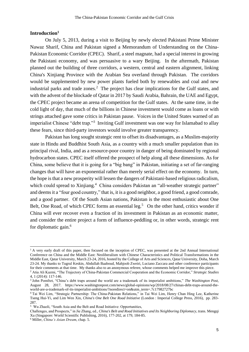### **Introduction<sup>1</sup>**

On July 5, 2013, during a visit to Beijing by newly elected Pakistani Prime Minister Nawaz Sharif, China and Pakistan signed a Memorandum of Understanding on the China-Pakistan Economic Corridor (CPEC). Sharif, a steel magnate, had a special interest in growing the Pakistani economy, and was persuasive to a wary Beijing. In the aftermath, Pakistan planned out the building of three corridors, a western, central and eastern alignment, linking China's Xinjiang Province with the Arabian Sea overland through Pakistan. The corridors would be supplemented by new power plants fueled both by renewables and coal and new industrial parks and trade zones.<sup>2</sup> The project has clear implications for the Gulf states, and with the advent of the blockade of Qatar in 2017 by Saudi Arabia, Bahrain, the UAE and Egypt, the CPEC project became an arena of competition for the Gulf states. At the same time, in the cold light of day, that much of the billions in Chinese investment would come as loans or with strings attached gave some critics in Pakistan pause. Voices in the United States warned of an imperialist Chinese "debt trap."<sup>3</sup> Inviting Gulf investment was one way for Islamabad to allay these fears, since third-party investors would involve greater transparency.

Pakistan has long sought strategic rent to offset its disadvantages, as a Muslim-majority state in Hindu and Buddhist South Asia, as a country with a much smaller population than its principal rival, India, and as a resource-poor country in danger of being dominated by regional hydrocarbon states. CPEC itself offered the prospect of help along all these dimensions. As for China, some believe that it is going for a "big bang" in Pakistan, initiating a set of far-ranging changes that will have an exponential rather than merely serial effect on the economy. In turn, the hope is that a new prosperity will lessen the dangers of Pakistani-based religious radicalism, which could spread to Xinjiang.<sup>4</sup> China considers Pakistan an "all-weather strategic partner" and deems it a "four good country," that is, it is a good neighbor, a good friend, a good comrade, and a good partner. Of the South Asian nations, Pakistan is the most enthusiastic about One Belt, One Road, of which CPEC forms an essential leg.<sup>5</sup> On the other hand, critics wonder if China will ever recover even a fraction of its investment in Pakistan as an economic matter, and consider the entire project a form of influence-peddling or, in other words, strategic rent for diplomatic gain.<sup>6</sup>

<sup>&</sup>lt;sup>1</sup> A very early draft of this paper, then focused on the inception of CPEC, was presented at the 2nd Annual International Conference on China and the Middle East: Neoliberalism with Chinese Characteristics and Political Transformations in the Middle East, Qatar University, March 23-24, 2016, hosted by the College of Arts and Sciences, Qatar University, Doha, March 23-24. My thanks to Tugrul Keskin, Abdullah Baaboud, Mahjoob Zweiri, Luciano Zaccara and other conference participants for their comments at that time. My thanks also to an anonymous referee, whose comments helped me improve this piece.

<sup>2</sup> Atia Ali Kazmi, "The Trajectory of China-Pakistan Commercial Cooperation and the Economic Corridor," *Strategic Studies* 4, 1 (2014): 117-146.

<sup>3</sup> John Pomfret, "China's debt traps around the world are a trademark of its imperialist ambitions," *The Washington Post*, August 28, 2017. https://www.washingtonpost.com/news/global-opinions/wp/2018/08/27/chinas-debt-traps-around-theworld-are-a-trademark-of-its-imperialist-ambitions/?noredirect=on&utm\_term=.7c17982727bc

<sup>4</sup> Tai Wei Lim, "Strategic Partnership: The China-Pakistan Relations," in Tai Wei Lim, Henry Chan Hing Lee, Katherine Tseng Hui-Yi, and Lim Wen Xin, *China's One Belt One Road Initiative* (London : Imperial College Press, 2016), pp. 283- 287.

<sup>5</sup> Wu Zhaoli, "South Asia and the Belt and Road Initiative: Opportunities,

Challenges, and Prospects," in Jie Zhang, ed., *China's Belt and Road Initiatives and Its Neighboring Diplomacy*, trans. Mengqi Xu (Singapore: World Scientific Publishing, 2016), 177-202, at 179, 184-85.

<sup>6</sup> Miller, *China's Asian Dream*, chap. 5.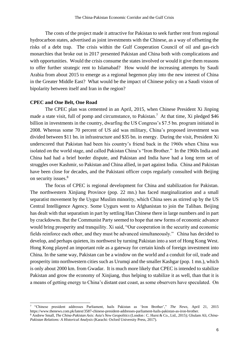The costs of the project made it attractive for Pakistan to seek further rent from regional hydrocarbon states, advertised as joint investments with the Chinese, as a way of offsetting the risks of a debt trap. The crisis within the Gulf Cooperation Council of oil and gas-rich monarchies that broke out in 2017 presented Pakistan and China both with complications and with opportunities. Would the crisis consume the states involved or would it give them reasons to offer further strategic rent to Islamabad? How would the increasing attempts by Saudi Arabia from about 2015 to emerge as a regional hegemon play into the new interest of China in the Greater Middle East? What would be the impact of Chinese policy on a Saudi vision of bipolarity between itself and Iran in the region?

#### **CPEC and One Belt, One Road**

1

The CPEC plan was cemented in an April, 2015, when Chinese President Xi Jinping made a state visit, full of pomp and circumstance, to Pakistan.<sup>7</sup> At that time, Xi pledged \$46 billion in investments in the country, dwarfing the US Congress's \$7.5 bn. program initiated in 2008. Whereas some 70 percent of US aid was military, China's proposed investment was divided between \$11 bn. in infrastructure and \$35 bn. in energy. During the visit, President Xi underscored that Pakistan had been his country's friend back in the 1960s when China was isolated on the world stage, and called Pakistan China's "Iron Brother." In the 1960s India and China had had a brief border dispute, and Pakistan and India have had a long term set of struggles over Kashmir, so Pakistan and China allied, in part against India. China and Pakistan have been close for decades, and the Pakistani officer corps regularly consulted with Beijing on security issues.<sup>8</sup>

The focus of CPEC is regional development for China and stabilization for Pakistan. The northwestern Xinjiang Province (pop. 22 mn.) has faced marginalization and a small separatist movement by the Uygur Muslim minority, which China sees as stirred up by the US Central Intelligence Agency. Some Uygurs went to Afghanistan to join the Taliban. Beijing has dealt with that separatism in part by settling Han Chinese there in large numbers and in part by crackdowns. But the Communist Party seemed to hope that new forms of economic advance would bring prosperity and tranquility. Xi said, "Our cooperation in the security and economic fields reinforce each other, and they must be advanced simultaneously." China has decided to develop, and perhaps quieten, its northwest by turning Pakistan into a sort of Hong Kong West. Hong Kong played an important role as a gateway for certain kinds of foreign investment into China. In the same way, Pakistan can be a window on the world and a conduit for oil, trade and prosperity into northwestern cities such as Urumqi and the smaller Kashgar (pop. 1 mn.), which is only about 2000 km. from Gwadar. It is much more likely that CPEC is intended to stabilize Pakistan and grow the economy of Xinjiang, thus helping to stabilize it as well, than that it is a means of getting energy to China's distant east coast, as some observers have speculated. On

<sup>7</sup> "Chinese president addresses Parliament, hails Pakistan as 'Iron Brother'," *The News*, April 21, 2015 https://www.thenews.com.pk/latest/3587-chinese-president-addresses-parliament-hails-pakistan-as-iron-brother.

<sup>8</sup> Andrew Small, *The China-Pakistan Axis: Asia's New Geopolitics* (London : C. Hurst & Co., Ltd., 2015); Ghulam Ali, *China-Pakistan Relations: A Historical Analysis* (Karachi: Oxford University Press, 2017).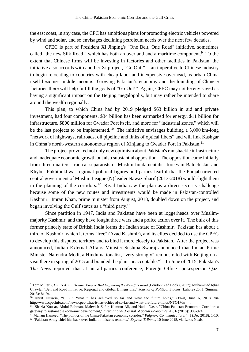the east coast, in any case, the CPC has ambitious plans for promoting electric vehicles powered by wind and solar, and so envisages declining petroleum needs over the next few decades.

CPEC is part of President Xi Jinping's "One Belt, One Road" initiative, sometimes called "the new Silk Road," which has both an overland and a maritime component.<sup>9</sup> To the extent that Chinese firms will be investing in factories and other facilities in Pakistan, the initiative also accords with another Xi project, "Go Out!" -- an imperative to Chinese industry to begin relocating to countries with cheap labor and inexpensive overhead, as urban China itself becomes middle income. Growing Pakistan's economy and the founding of Chinese factories there will help fulfill the goals of "Go Out!" Again, CPEC may not be envisaged as having a significant impact on the Beijing megalopolis, but may rather be intended to share around the wealth regionally.

This plan, to which China had by 2019 pledged \$63 billion in aid and private investment, had four components. \$34 billion has been earmarked for energy, \$11 billion for infrastructure, \$800 million for Gwadar Port itself, and more for "industrial zones," which will be the last projects to be implemented.<sup>10</sup> The initiative envisages building a  $3,000$  km-long "network of highways, railroads, oil pipeline and links of optical fibers" and will link Kashgar in China's north-western autonomous region of Xinjiang to Gwadar Port in Pakistan.<sup>11</sup>

The project provoked not only new optimism about Pakistan's ramshackle infrastructure and inadequate economic growth but also substantial opposition. The opposition came initially from three quarters: radical separatists or Muslim fundamentalist forces in Balochistan and Khyber-Pukhtunkhwa, regional political figures and parties fearful that the Punjab-oriented central government of Muslim League (N) leader Nawaz Sharif (2013-2018) would slight them in the planning of the corridors.<sup>12</sup> Rival India saw the plan as a direct security challenge because some of the new routes and investments would be made in Pakistan-controlled Kashmir. Imran Khan, prime minister from August, 2018, doubled down on the project, and began involving the Gulf states as a "third party."

Since partition in 1947, India and Pakistan have been at loggerheads over Muslimmajority Kashmir, and they have fought three wars and a police action over it. The bulk of this former princely state of British India forms the Indian state of Kashmir. Pakistan has about a third of Kashmir, which it terms "free" (Azad Kashmir), and its elites decided to use the CPEC to develop this disputed territory and to bind it more closely to Pakistan. After the project was announced, Indian External Affairs Minister Sushma Swaraj announced that Indian Prime Minister Narendra Modi, a Hindu nationalist, "very strongly" remonstrated with Beijing on a visit there in spring of 2015 and branded the plan "unacceptable."<sup>13</sup> In June of 2015, Pakistan's *The News* reported that at an all-parties conference, Foreign Office spokesperson Qazi

<sup>9</sup> Tom Miller, *China's Asian Dream: Empire Building along the New Silk Road* (London: Zed Books, 2017); Muhammad Iqbal Chawla, "Belt and Road Initiative: Regional and Global Dimensions," *Journal of Political Studies* (Lahore) 25, 1 (Summer 2018): 81-94.

<sup>10</sup> Ishrat Hussein, "CPEC: What it has achieved so far and what the future holds," *Dawn*, June 6, 2018, via http://www.cpecinfo.com/news/cpec-what-it-has-achieved-so-far-and-what-the-future-holds/NTQ1Mw==.

<sup>&</sup>lt;sup>11</sup> Shazia Kousar, Abdul Rehman, Mahwish Zafar, Kamran Ali, and Nadia Nasir, "China-Pakistan Economic Corridor: a gateway to sustainable economic development," *International Journal of Social Economics*, 45, 6 (2018): 909-924.

<sup>12</sup> Maham Hameed, "The politics of the China-Pakistan economic corridor," *Palgrave Communications* 4, 1 (Dec 2018): 1-10. <sup>13</sup> "Pakistan Army chief hits back over Indian minister's remarks," *Express Tribune*, 10 June 2015, via Lexis Nexis.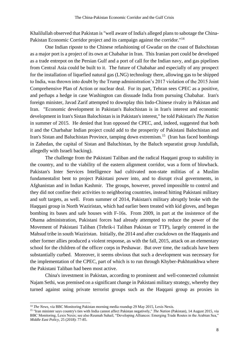Khalilullah observed that Pakistan is "well aware of India's alleged plans to sabotage the China-Pakistan Economic Corridor project and its campaign against the corridor."<sup>14</sup>

One Indian riposte to the Chinese refashioning of Gwadar on the coast of Balochistan as a major port is a project of its own at Chabahar in Iran. This Iranian port could be developed as a trade entrepot on the Persian Gulf and a port of call for the Indian navy, and gas pipelines from Central Asia could be built to it. The future of Chabahar and especially of any prospect for the installation of liquefied natural gas (LNG) technology there, allowing gas to be shipped to India, was thrown into doubt by the Trump administration's 2017 violation of the 2015 Joint Comprehensive Plan of Action or nuclear deal. For its part, Tehran sees CPEC as a positive, and perhaps a hedge in case Washington can dissuade India from pursuing Chabahar. Iran's foreign minister, Javad Zarif attempted to downplay this Indo-Chinese rivalry in Pakistan and Iran. "Economic development in Pakistan's Balochistan is in Iran's interest and economic development in Iran's Sistan Balochistan is in Pakistan's interest," he told Pakistan's *The Nation* in summer of 2015. He denied that Iran opposed the CPEC, and, indeed, suggested that both it and the Charbahar Indian project could add to the prosperity of Pakistani Balochistan and Iran's Sistan and Baluchistan Province, tamping down extremism.<sup>15</sup> (Iran has faced bombings in Zahedan, the capital of Sistan and Baluchistan, by the Baluch separatist group Jundullah, allegedly with Israeli backing).

The challenge from the Pakistani Taliban and the radical Haqqani group to stability in the country, and to the viability of the eastern alignment corridor, was a form of blowback. Pakistan's Inter Services Intelligence had cultivated non-state militias of a Muslim fundamentalist bent to project Pakistani power into, and to disrupt rival governments, in Afghanistan and in Indian Kashmir. The groups, however, proved impossible to control and they did not confine their activities to neighboring countries, instead hitting Pakistani military and soft targets, as well. From summer of 2014, Pakistan's military abruptly broke with the Haqqani group in North Waziristan, which had earlier been treated with kid gloves, and began bombing its bases and safe houses with F-16s. From 2009, in part at the insistence of the Obama administration, Pakistani forces had already attempted to reduce the power of the Movement of Pakistani Taliban (Tehrik-i Taliban Pakistan or TTP), largely centered in the Mahsud tribe in south Waziristan. Initially, the 2014 and after crackdown on the Haqqanis and other former allies produced a violent response, as with the fall, 2015, attack on an elementary school for the children of the officer corps in Peshawar. But over time, the radicals have been substantially curbed. Moreover, it seems obvious that such a development was necessary for the implementation of the CPEC, part of which is to run through Khyber-Pukhtunkhwa where the Pakistani Taliban had been most active.

China's investment in Pakistan, according to prominent and well-connected columnist Najam Sethi, was premised on a significant change in Pakistani military strategy, whereby they turned against using private terrorist groups such as the Haqqani group as proxies in

<sup>&</sup>lt;sup>14</sup> *The News*, via BBC Monitoring Pakistan morning media roundup 29 May 2015, Lexis Nexis.

<sup>15</sup> "Iran minister says country's ties with India cannot affect Pakistan negatively," *The Nation* (Pakistan), 14 August 2015, via BBC Monitoring, Lexis Nexis; see also Reumah Suhail, "Developing Alliances: Emerging Trade Routes in the Arabian Sea," *Middle East Policy*, 25 (2018): 77-85.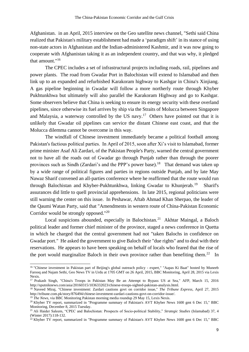Afghanistan. in an April, 2015 interview on the Geo satellite news channel, "Sethi said China realized that Pakistan's military establishment had made a 'paradigm shift' in its stance of using non-state actors in Afghanistan and the Indian-administered Kashmir, and it was now going to cooperate with Afghanistan taking it as an independent country, and that was why, it pledged that amount."<sup>16</sup>

The CPEC includes a set of infrastructural projects including roads, rail, pipelines and power plants. The road from Gwadar Port in Balochistan will extend to Islamabad and then link up to an expanded and refurbished Karakoram highway to Kashgar in China's Xinjiang. A gas pipeline beginning in Gwadar will follow a more northerly route through Khyber Pukhtunkhwa but ultimately will also parallel the Karakoram Highway and go to Kashgar. Some observers believe that China is seeking to ensure its energy security with these overland pipelines, since otherwise its fuel arrives by ship via the Straits of Molucca between Singapore and Malaysia, a waterway controlled by the US navy.<sup>17</sup> Others have pointed out that it is unlikely that Gwadar oil pipelines can service the distant Chinese east coast, and that the Molucca dilemma cannot be overcome in this way.

The windfall of Chinese investment immediately became a political football among Pakistan's factious political parties. In April of 2015, soon after Xi's visit to Islamabad, former prime minister Asaf Ali Zardari, of the Pakistan People's Party, warned the central government not to have all the roads out of Gwadar go through Punjab rather than through the poorer provinces such as Sindh (Zardari's and the PPP's power base).<sup>18</sup> That demand was taken up by a wide range of political figures and parties in regions outside Punjab, and by late May Nawaz Sharif convened an all-parties conference where he reaffirmed that the route would run through Balochistan and Khyber-Pukhtunkhwa, linking Gwadar to Khunjerab.<sup>19</sup> Sharif's assurances did little to quell provincial apprehensions. In late 2015, regional politicians were still warning the center on this issue. In Peshawar, Aftab Ahmad Khan Sherpao, the leader of the Qaumi Watan Party, said that "Amendments in western route of China-Pakistan Economic Corridor would be strongly opposed."<sup>20</sup>

Local suspicions abounded, especially in Balochistan.<sup>21</sup> Akhtar Maingal, a Baloch political leader and former chief minister of the province, staged a news conference in Quetta in which he charged that the central government had not "taken Balochs in confidence on Gwadar port." He asked the government to give Baloch their "due rights" and to deal with their reservations. He appears to have been speaking on behalf of locals who feared that the rise of the port would marginalize Baloch in their own province rather than benefiting them.<sup>22</sup> In

<sup>&</sup>lt;sup>16</sup> "Chinese investment in Pakistan part of Beijing's global outreach policy - expert," "Aapas Ki Baat" hosted by Muneeb Farooq and Najam Sethi, Geo News TV in Urdu at 1705 GMT on 26 April, 2015, BBC Monitoring, April 28, 2015 via Lexis Nexis.

<sup>&</sup>lt;sup>17</sup> Prakash Singh, "China's Troops in Pakistan May Be an Attempt to Bypass US at Sea," AFP, March 15, 2016 http://sputniknews.com/asia/20160315/1036332023/chinese-troops-sighted-pakistan-analysis.html.

<sup>18</sup> Naveed Miraj, "Chinese investment: Zardari cautions govt on corridor issue," *The Tribune Express*, April 27, 2015 http://tribune.com.pk/story/876494/chinese-investment-zardari-cautions-govt-on-corridor-issue/.

<sup>19</sup> *The News*, via BBC Monitoring Pakistan morning media roundup 29 May 15, Lexis Nexis.

<sup>20</sup> Khyber TV report, summarized in "Programme summary of Pakistan's AVT Khyber News 1600 gmt 6 Dec 15," BBC Monitoring, December 8, 2015 Tuesday.

<sup>21</sup> Ali Haider Saleem, "CPEC and Balochistan: Prospects of Socio-political Stability," *Strategic Studies* (Islamabad) 37, 4 (Winter 2017):118-132.

<sup>&</sup>lt;sup>22</sup> Khyber TV report, summarized in "Programme summary of Pakistan's AVT Khyber News 1600 gmt 6 Dec 15," BBC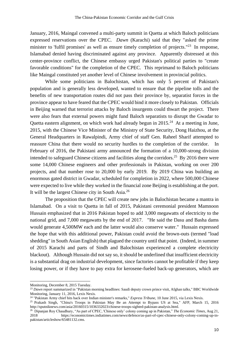January, 2016, Maingal convened a multi-party summit in Quetta at which Baloch politicians expressed reservations over the CPEC. *Dawn* (Karachi) said that they "asked the prime minister to 'fulfil promises' as well as ensure timely completion of projects."<sup>23</sup> In response, Islamabad denied having discriminated against any province. Apparently distressed at this center-province conflict, the Chinese embassy urged Pakistan's political parties to "create favorable conditions" for the completion of the CPEC. This reprimand to Baloch politicians like Maingal constituted yet another level of Chinese involvement in provincial politics.

While some politicians in Balochistan, which has only 5 percent of Pakistan's population and is generally less developed, wanted to ensure that the pipeline tolls and the benefits of new transportation routes did not pass their province by, separatist forces in the province appear to have feared that the CPEC would bind it more closely to Pakistan. Officials in Beijing warned that terrorist attacks by Baloch insurgents could thwart the project. There were also fears that external powers might fund Baloch separatists to disrupt the Gwadar to Quetta eastern alignment, on which work had already begun in 2015.<sup>24</sup> At a meeting in June, 2015, with the Chinese Vice Minister of the Ministry of State Security, Dong Haizhou, at the General Headquarters in Rawalpindi, Army chief of staff Gen. Raheel Sharif attempted to reassure China that there would no security hurdles to the completion of the corridor. In February of 2016, the Pakistani army announced the formation of a 10,000-strong division intended to safeguard Chinese citizens and facilities along the corridors.<sup>25</sup> By 2016 there were some 14,000 Chinese engineers and other professionals in Pakistan, working on over 200 projects, and that number rose to 20,000 by early 2019. By 2019 China was building an enormous gated district in Gwadar, scheduled for completion in 2022, where 500,000 Chinese were expected to live while they worked in the financial zone Beijing is establishing at the port. It will be the largest Chinese city in South Asia.<sup>26</sup>

The proposition that the CPEC will create new jobs in Balochistan became a mantra in Islamabad. On a visit to Quetta in fall of 2015, Pakistani ceremonial president Mamnoon Hussain emphasized that in 2016 Pakistan hoped to add 3,000 megawatts of electricity to the national grid, and 7,000 megawatts by the end of 2017. "He said the Dasu and Basha dams would generate 4,500MW each and the latter would also conserve water." Hussain expressed the hope that with this additional power, Pakistan could avoid the brown-outs (termed "load shedding" in South Asian English) that plagued the country until that point. (Indeed, in summer of 2015 Karachi and parts of Sindh and Balochistan experienced a complete electricity blackout). Although Hussain did not say so, it should be underlined that insufficient electricity is a substantial drag on industrial development, since factories cannot be profitable if they keep losing power, or if they have to pay extra for kerosene-fueled back-up generators, which are

Monitoring, December 8, 2015 Tuesday.

<sup>&</sup>lt;sup>23</sup> Dawn report summarized in "Pakistan morning headlines: Saudi deputy crown prince visit, Afghan talks," BBC Worldwide Monitoring, January 11, 2016, Lexis Nexis.

<sup>24</sup> "Pakistan Army chief hits back over Indian minister's remarks," *Express Tribune*, 10 June 2015, via Lexis Nexis.

<sup>25</sup> Prakash Singh, "China's Troops in Pakistan May Be an Attempt to Bypass US at Sea," AFP, March 15, 2016 http://sputniknews.com/asia/20160315/1036332023/chinese-troops-sighted-pakistan-analysis.html.

<sup>26</sup> Dipanjan Roy Chaudhury, "As part of CPEC, 'Chinese only' colony coming up in Pakistan," *The Economic Times*, Aug 21, 2018 https://economictimes.indiatimes.com/news/defence/as-part-of-cpec-chinese-only-colony-coming-up-inpakistan/articleshow/65481132.cms.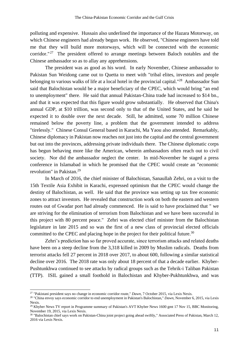polluting and expensive. Hussain also underlined the importance of the Hazara Motorway, on which Chinese engineers had already begun work. He observed, "Chinese engineers have told me that they will build more motorways, which will be connected with the economic corridor."<sup>27</sup> The president offered to arrange meetings between Baloch notables and the Chinese ambassador so as to allay any apprehensions.

The president was as good as his word. In early November, Chinese ambassador to Pakistan Sun Weidong came out to Quetta to meet with "tribal elites, investors and people belonging to various walks of life at a local hotel in the provincial capital."<sup>28</sup> Ambassador Sun said that Balochistan would be a major beneficiary of the CPEC, which would bring "an end to unemployment" there. He said that annual Pakistan-China trade had increased to \$14 bn., and that it was expected that this figure would grow substantially. He observed that China's annual GDP, at \$10 trillion, was second only to that of the United States, and he said he expected it to double over the next decade. Still, he admitted, some 70 million Chinese remained below the poverty line, a problem that the government intended to address "tirelessly." Chinese Consul General based in Karachi, Ma Yaou also attended. Remarkably, Chinese diplomacy in Pakistan now reaches not just into the capital and the central government but out into the provinces, addressing private individuals there. The Chinese diplomatic corps has begun behaving more like the American, wherein ambassadors often reach out to civil society. Nor did the ambassador neglect the center. In mid-November he staged a press conference in Islamabad in which he promised that the CPEC would create an "economic revolution" in Pakistan.<sup>29</sup>

In March of 2016, the chief minister of Balochistan, Sanaullah Zehri, on a visit to the 15th Textile Asia Exhibit in Karachi, expressed optimism that the CPEC would change the destiny of Balochistan, as well. He said that the province was setting up tax free economic zones to attract investors. He revealed that construction work on both the eastern and western routes out of Gwadar port had already commenced. He is said to have proclaimed that " we are striving for the elimination of terrorism from Balochistan and we have been successful in this project with 80 percent peace." Zehri was elected chief minister from the Balochistan legislature in late 2015 and so was the first of a new class of provincial elected officials committed to the CPEC and placing hope in the project for their political future.<sup>30</sup>

Zehri's prediction has so far proved accurate, since terrorism attacks and related deaths have been on a steep decline from the 3,318 killed in 2009 by Muslim radicals. Deaths from terrorist attacks fell 27 percent in 2018 over 2017, to about 600, following a similar statistical decline over 2016. The 2018 rate was only about 18 percent of that a decade earlier. Khyber-Pushtunkhwa continued to see attacks by radical groups such as the Tehrik-i Taliban Pakistan (TTP). ISIL gained a small foothold in Balochistan and Khyber-Pukhtunkhwa, and was

<sup>27</sup> "Pakistani president says no change in economic corridor route," *Dawn*, 7 October 2015, via Lexis Nexis.

<sup>28</sup> "China envoy says economic corridor to end unemployment in Pakistan's Balochistan," *Dawn*, November 6, 2015, via Lexis Nexis.

<sup>&</sup>lt;sup>29</sup> Khyber News TV report in Programme summary of Pakistan's AVT Khyber News 1600 gmt 17 Nov 15, BBC Monitoring, November 19, 2015, via Lexis Nexis.

<sup>&</sup>lt;sup>30</sup> "Balochistan chief says work on Pakistan-China joint project going ahead swiftly," Associated Press of Pakistan, March 12, 2016 via Lexis Nexis.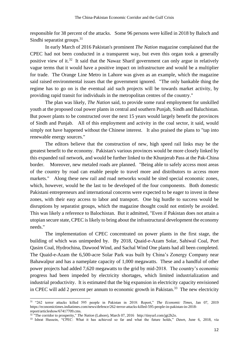responsible for 38 percent of the attacks. Some 96 persons were killed in 2018 by Baloch and Sindhi separatist groups.<sup>31</sup>

In early March of 2016 Pakistan's prominent *The Nation* magazine complained that the CPEC had not been conducted in a transparent way, but even this organ took a generally positive view of it.<sup>32</sup> It said that the Nawaz Sharif government can only argue in relatively vague terms that it would have a positive impact on infrastructure and would be a multiplier for trade. The Orange Line Metro in Lahore was given as an example, which the magazine said raised environmental issues that the government ignored. "The only bankable thing the regime has to go on is the eventual aid such projects will be towards market activity, by providing rapid transit for individuals in the metropolitan centres of the country."

The plan was likely, *The Nation* said, to provide some rural employment for unskilled youth at the proposed coal power plants in central and southern Punjab, Sindh and Baluchistan. But power plants to be constructed over the next 15 years would largely benefit the provinces of Sindh and Punjab. All of this employment and activity in the coal sector, it said, would simply not have happened without the Chinese interest. It also praised the plans to "tap into renewable energy sources."

The editors believe that the construction of new, high speed rail links may be the greatest benefit to the economy. Pakistan's various provinces would be more closely linked by this expanded rail network, and would be further linked to the Khunjerab Pass at the Pak-China border. Moreover, new metaled roads are planned. "Being able to safely access most areas of the country by road can enable people to travel more and distributors to access more markets." Along these new rail and road networks would be sited special economic zones, which, however, would be the last to be developed of the four components. Both domestic Pakistani entrepreneurs and international concerns were expected to be eager to invest in these zones, with their easy access to labor and transport. One big hurdle to success would be disruptions by separatist groups, which the magazine thought could not entirely be avoided. This was likely a reference to Balochistan. But it admitted, "Even if Pakistan does not attain a utopian secure state, CPEC is likely to bring about the infrastructural development the economy needs."

The implementation of CPEC concentrated on power plants in the first stage, the building of which was unimpeded by. By 2018, Quaid-e-Azam Solar, Sahiwal Coal, Port Qasim Coal, Hydrochina, Dawood Wind, and Sachal Wind One plants had all been completed. The Quaid-e-Azam the 6,500-acre Solar Park was built by China's Zonergy Company near Bahawalpur and has a nameplate capacity of 1,000 megawatts. These and a handful of other power projects had added 7,620 megawatts to the grid by mid-2018. The country's economic progress had been impeded by electricity shortages, which limited industrialization and industrial productivity. It is estimated that the big expansion in electricity capacity envisioned in CPEC will add 2 percent per annum to economic growth in Pakistan.<sup>33</sup> The new electricity

<sup>31</sup> "262 terror attacks killed 595 people in Pakistan in 2018: Report," *The Economic Times*, Jan 07, 2019 https://economictimes.indiatimes.com/news/defence/262-terror-attacks-killed-595-people-in-pakistan-in-2018 report/articleshow/67417709.cms.

<sup>&</sup>lt;sup>32 "</sup>The corridor to prosperity," *The Nation* (Lahore), March 07, 2016 http://tinyurl.com/jgt2h2o.

<sup>33</sup> Ishrat Hussein, "CPEC: What it has achieved so far and what the future holds," *Dawn*, June 6, 2018, via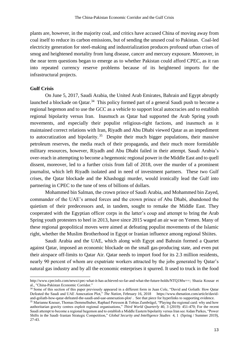plants are, however, in the majority coal, and critics have accused China of moving away from coal itself to reduce its carbon emissions, but of sending the unused coal to Pakistan. Coal-led electricity generation for steel-making and industrialization produces profound urban crises of smog and heightened mortality from lung disease, cancer and mercury exposure. Moreover, in the near term questions began to emerge as to whether Pakistan could afford CPEC, as it ran into repeated currency reserve problems because of its heightened imports for the infrastructural projects.

#### **Gulf Crisis**

-

On June 5, 2017, Saudi Arabia, the United Arab Emirates, Bahrain and Egypt abruptly launched a blockade on Qatar.<sup>34</sup> This policy formed part of a general Saudi push to become a regional hegemon and to use the GCC as a vehicle to support local autocracies and to establish regional bipolarity versus Iran. Inasmuch as Qatar had supported the Arab Spring youth movements, and especially their populist religious-right factions, and inasmuch as it maintained correct relations with Iran, Riyadh and Abu Dhabi viewed Qatar as an impediment to autocratization and bipolarity.<sup>35</sup> Despite their much bigger populations, their massive petroleum reserves, the media reach of their propaganda, and their much more formidable military resources, however, Riyadh and Abu Dhabi failed in their attempt. Saudi Arabia's over-reach in attempting to become a hegemonic regional power in the Middle East and to quell dissent, moreover, led to a further crisis from fall of 2018, over the murder of a prominent journalist, which left Riyadh isolated and in need of investment partners. These two Gulf crises, the Qatar blockade and the Khashoggi murder, would ironically lead the Gulf into partnering in CPEC to the tune of tens of billions of dollars.

Mohammed bin Salman, the crown prince of Saudi Arabia, and Mohammed bin Zayed, commander of the UAE's armed forces and the crown prince of Abu Dhabi, abandoned the quietism of their predecessors and, in tandem, sought to remake the Middle East. They cooperated with the Egyptian officer corps in the latter's coup and attempt to bring the Arab Spring youth protesters to heel in 2013, have since 2015 waged an air war on Yemen. Many of these regional geopolitical moves were aimed at defeating populist movements of the Islamic right, whether the Muslim Brotherhood in Egypt or Iranian influence among regional Shiites.

Saudi Arabia and the UAE, which along with Egypt and Bahrain formed a Quartet against Qatar, imposed an economic blockade on the small gas-producing state, and even put their airspace off-limits to Qatar Air. Qatar needs to import food for its 2.3 million residents, nearly 90 percent of whom are expatriate workers attracted by the jobs generated by Qatar's natural gas industry and by all the economic enterprises it spurred. It used to truck in the food

http://www.cpecinfo.com/news/cpec-what-it-has-achieved-so-far-and-what-the-future-holds/NTQ1Mw==; Shazia Kousar et al., "China-Pakistan Economic Corridor."

<sup>&</sup>lt;sup>34</sup> Some of this section of this paper previously appeared in a different form in Juan Cole, "David and Goliath: How Qatar Defeated the Saudi and UAE Annexation Plot," *The Nation*, February 16, 2018 https://www.thenation.com/article/davidand-goliath-how-qatar-defeated-the-saudi-and-uae-annexation-plot/ . See that piece for hyperlinks to supporting evidence.

<sup>&</sup>lt;sup>35</sup> Marianne Kneuer, Thomas Demmelhuber, Raphael Peresson & Tobias Zumbrägel, "Playing the regional card: why and how authoritarian gravity centres exploit regional organisations," *Third World Quarterly* 40, 3 (2019): 451-470; For the recent Saudi attempt to become a regional hegemon and to establish a Middle Eastern bipolarity versus Iran see Aidan Parkes, "Power Shifts in the Saudi–Iranian Strategic Competition," *Global Security and Intelligence Studies* 4, 1 (Spring / Summer 2019), 27-43.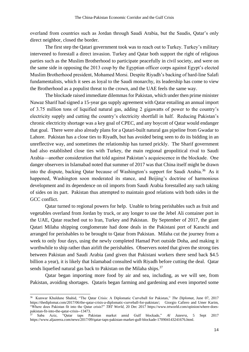overland from countries such as Jordan through Saudi Arabia, but the Saudis, Qatar's only direct neighbor, closed the border.

The first step the Qatari government took was to reach out to Turkey. Turkey's military intervened to forestall a direct invasion. Turkey and Qatar both support the right of religious parties such as the Muslim Brotherhood to participate peacefully in civil society, and were on the same side in opposing the 2013 coup by the Egyptian officer corps against Egypt's elected Muslim Brotherhood president, Mohamed Morsi. Despite Riyadh's backing of hard-line Salafi fundamentalists, which it sees as loyal to the Saudi monarchy, its leadership has come to view the Brotherhood as a populist threat to the crown, and the UAE feels the same way.

The blockade raised immediate dilemmas for Pakistan, which under then prime minister Nawaz Sharif had signed a 15-year gas supply agreement with Qatar entailing an annual import of 3.75 million tons of liquified natural gas, adding 2 gigawatts of power to the country's electricity supply and cutting the country's electricity shortfall in half. Reducing Pakistan's chronic electricity shortage was a key goal of CPEC, and any boycott of Qatar would endanger that goal. There were also already plans for a Qatari-built natural gas pipeline from Gwadar to Lahore. Pakistan has a close ties to Riyadh, but has avoided being seen to do its bidding in an unreflective way, and sometimes the relationship has turned prickly. The Sharif government had also established close ties with Turkey, the main regional geopolitical rival to Saudi Arabia—another consideration that told against Pakistan's acquiescence in the blockade. One danger observers in Islamabad noted that summer of 2017 was that China itself might be drawn into the dispute, backing Qatar because of Washington's support for Saudi Arabia.<sup>36</sup> As it happened, Washington soon moderated its stance, and Beijing's doctrine of harmonious development and its dependence on oil imports from Saudi Arabia forestalled any such taking of sides on its part. Pakistan thus attempted to maintain good relations with both sides in the GCC conflict.

Qatar turned to regional powers for help. Unable to bring perishables such as fruit and vegetables overland from Jordan by truck, or any longer to use the Jebel Ali container port in the UAE, Qatar reached out to Iran, Turkey and Pakistan. By September of 2017, the giant Qatari Milaha shipping conglomerate had done deals in the Pakistani port of Karachi and arranged for perishables to be brought to Qatar from Pakistan. Milaha cut the journey from a week to only four days, using the newly completed Hamad Port outside Doha, and making it worthwhile to ship rather than airlift the perishables. Observers noted that given the strong ties between Pakistan and Saudi Arabia (and given that Pakistani workers there send back \$4.5 billion a year), it is likely that Islamabad consulted with Riyadh before cutting the deal. Qatar sends liquefied natural gas back to Pakistan on the Milaha ships.<sup>37</sup>

Qatar began importing more food by air and sea, including, as we will see, from Pakistan, avoiding shortages. Qataris began farming and gardening and even imported some

 36 Kunwar Khuldune Shahid, "The Qatar Crisis: A Diplomatic Curveball for Pakistan," *The Diplomat*, June 07, 2017 https://thediplomat.com/2017/06/the-qatar-crisis-a-diplomatic-curveball-for-pakistan/; Giorgio Cafiero and Umer Karim, "Where does Pakistan fit into the Qatar crisis?" *TRT World*, 20 Dec 2017 https://www.trtworld.com/opinion/where-doespakistan-fit-into-the-qatar-crisis--13473.

<sup>37</sup> Saba Aziz, "Qatar taps Pakistan market amid Gulf blockade," *Al Jazeera*, 5 Sept 2017 https://www.aljazeera.com/news/2017/09/qatar-taps-pakistan-market-gulf-blockade-170904143241676.html.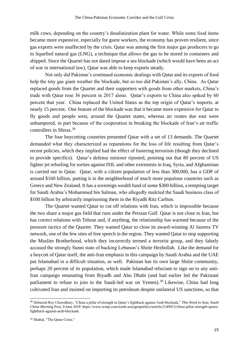milk cows, depending on the country's desalinization plant for water. While some food items became more expensive, especially for guest workers, the economy has proven resilient, since gas exports were unaffected by the crisis. Qatar was among the first major gas producers to go to liquefied natural gas (LNG), a technique that allows the gas to be stored in containers and shipped. Since the Quartet has not dared impose a sea blockade (which would have been an act of war in international law), Qatar was able to keep exports steady.

Not only did Pakistan's continued economic dealings with Qatar and its exports of food help the tiny gas giant weather the blockade, but so too did Pakistan's ally, China. As Qatar replaced goods from the Quartet and their supporters with goods from other markets, China's trade with Qatar rose 36 percent in 2017 alone. Qatar's exports to China also spiked by 60 percent that year. China replaced the United States as the top origin of Qatar's imports, at nearly 15 percent. One feature of the blockade was that it became more expensive for Qatar to fly goods and people west, around the Quartet states, whereas air routes due east were unhampered, in part because of the cooperation in breaking the blockade of Iran's air traffic controllers in Shiraz.<sup>38</sup>

The four boycotting countries presented Qatar with a set of 13 demands. The Quartet demanded what they characterized as reparations for the loss of life resulting from Qatar's recent policies, which they implied had the effect of fostering terrorism (though they declined to provide specifics). Qatar's defense minister riposted, pointing out that 80 percent of US fighter jet refueling for sorties against ISIL and other extremists in Iraq, Syria, and Afghanistan is carried out in Qatar. Qatar, with a citizen population of less than 300,000, has a GDP of around \$160 billion, putting it in the neighborhood of much more populous countries such as Greece and New Zealand. It has a sovereign wealth fund of some \$300 billion, a tempting target for Saudi Arabia's Mohammed bin Salman, who allegedly mulcted the Saudi business class of \$100 billion by arbitrarily imprisoning them in the Riyadh Ritz Carlton.

The Quartet wanted Qatar to cut off relations with Iran, which is impossible because the two share a major gas field that runs under the Persian Gulf. Qatar is not close to Iran, but has correct relations with Tehran and, if anything, the relationship has warmed because of the pressure tactics of the Quartet. They wanted Qatar to close its award-winning Al Jazeera TV network, one of the few sites of free speech in the region. They wanted Qatar to stop supporting the Muslim Brotherhood, which they incorrectly termed a terrorist group, and they falsely accused the strongly Sunni state of backing Lebanon's Shiite Hezbollah. Like the demand for a boycott of Qatar itself, the anti-Iran emphasis in this campaign by Saudi Arabia and the UAE put Islamabad in a difficult situation, as well. Pakistan has its own large Shiite community, perhaps 20 percent of its population, which made Islamabad reluctant to sign on to any anti-Iran campaign emanating from Riyadh and Abu Dhabi (and had earlier led the Pakistani parliament to refuse to join in the Saudi-led war on Yemen).<sup>39</sup> Likewise, China had long cultivated Iran and insisted on importing its petroleum despite unilateral US sanctions, so that

<sup>38</sup> Debasish Roy Chowdhury, "China a pillar of strength in Qatar's fightback against Arab blockade," *This Week in Asia*, *South China Morning Post*, 9 June 2018 https://www.scmp.com/week-asia/geopolitics/article/2149915/china-pillar-strength-qatarsfightback-against-arab-blockade.

<sup>39</sup> Shahid, "The Qatar Crisis."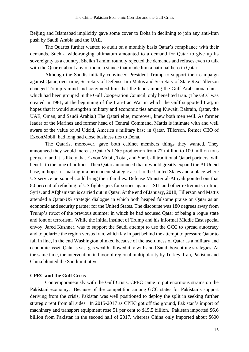Beijing and Islamabad implicitly gave some cover to Doha in declining to join any anti-Iran push by Saudi Arabia and the UAE.

The Quartet further wanted to audit on a monthly basis Qatar's compliance with their demands. Such a wide-ranging ultimatum amounted to a demand for Qatar to give up its sovereignty as a country. Sheikh Tamim roundly rejected the demands and refuses even to talk with the Quartet about any of them, a stance that made him a national hero in Qatar.

Although the Saudis initially convinced President Trump to support their campaign against Qatar, over time, Secretary of Defense Jim Mattis and Secretary of State Rex Tillerson changed Trump's mind and convinced him that the feud among the Gulf Arab monarchies, which had been grouped in the Gulf Cooperation Council, only benefited Iran. (The GCC was created in 1981, at the beginning of the Iran-Iraq War in which the Gulf supported Iraq, in hopes that it would strengthen military and economic ties among Kuwait, Bahrain, Qatar, the UAE, Oman, and Saudi Arabia.) The Qatari elite, moreover, knew both men well. As former leader of the Marines and former head of Central Command, Mattis is intimate with and well aware of the value of Al Udeid, America's military base in Qatar. Tillerson, former CEO of ExxonMobil, had long had close business ties to Doha.

The Qataris, moreover, gave both cabinet members things they wanted. They announced they would increase Qatar's LNG production from 77 million to 100 million tons per year, and it is likely that Exxon Mobil, Total, and Shell, all traditional Qatari partners, will benefit to the tune of billions. Then Qatar announced that it would greatly expand the Al Udeid base, in hopes of making it a permanent strategic asset to the United States and a place where US service personnel could bring their families. Defense Minister al-Attiyah pointed out that 80 percent of refueling of US fighter jets for sorties against ISIL and other extremists in Iraq, Syria, and Afghanistan is carried out in Qatar. At the end of January, 2018, Tillerson and Mattis attended a Qatar-US strategic dialogue in which both heaped fulsome praise on Qatar as an economic and security partner for the United States. The discourse was 180 degrees away from Trump's tweet of the previous summer in which he had accused Qatar of being a rogue state and font of terrorism. While the initial instinct of Trump and his informal Middle East special envoy, Jared Kushner, was to support the Saudi attempt to use the GCC to spread autocracy and to polarize the region versus Iran, which lay in part behind the attempt to pressure Qatar to fall in line, in the end Washington blinked because of the usefulness of Qatar as a military and economic asset. Qatar's vast gas wealth allowed it to withstand Saudi boycotting strategies. At the same time, the intervention in favor of regional multipolarity by Turkey, Iran, Pakistan and China blunted the Saudi initiative.

#### **CPEC and the Gulf Crisis**

Contemporaneously with the Gulf Crisis, CPEC came to put enormous strains on the Pakistani economy. Because of the competition among GCC states for Pakistan's support deriving from the crisis, Pakistan was well positioned to deploy the split in seeking further strategic rent from all sides. In 2015-2017 as CPEC got off the ground, Pakistan's import of machinery and transport equipment rose 51 per cent to \$15.5 billion. Pakistan imported \$6.6 billion from Pakistan in the second half of 2017, whereas China only imported about \$600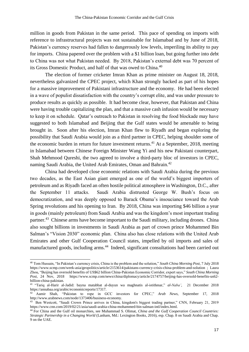million in goods from Pakistan in the same period. This pace of spending on imports with reference to infrastructural projects was not sustainable for Islamabad and by June of 2018, Pakistan's currency reserves had fallen to dangerously low levels, imperiling its ability to pay for imports. China papered over the problem with a \$1 billion loan, but going further into debt to China was not what Pakistan needed. By 2018, Pakistan's external debt was 70 percent of its Gross Domestic Product, and half of that was owed to China.<sup>40</sup>

The election of former cricketer Imran Khan as prime minister on August 18, 2018, nevertheless galvanized the CPEC project, which Khan strongly backed as part of his hopes for a massive improvement of Pakistani infrastructure and the economy. He had been elected in a wave of populist dissatisfaction with the country's corrupt elite, and was under pressure to produce results as quickly as possible. It had become clear, however, that Pakistan and China were having trouble capitalizing the plan, and that a massive cash infusion would be necessary to keep it on schedule. Qatar's outreach to Pakistan in resolving the food blockade may have suggested to both Islamabad and Beijing that the Gulf states would be amenable to being brought in. Soon after his election, Imran Khan flew to Riyadh and began exploring the possibility that Saudi Arabia would join as a third partner in CPEC, helping shoulder some of the economic burden in return for future investment returns.<sup>41</sup> At a September, 2018, meeting in Islamabad between Chinese Foreign Minister Wang Yi and his new Pakistani counterpart, Shah Mehmood Qureshi, the two agreed to involve a third-party bloc of investors in CPEC, naming Saudi Arabia, the United Arab Emirates, Oman and Bahrain.<sup>42</sup>

China had developed close economic relations with Saudi Arabia during the previous two decades, as the East Asian giant emerged as one of the world's biggest importers of petroleum and as Riyadh faced an often hostile political atmosphere in Washington, D.C., after the September 11 attacks. Saudi Arabia distrusted George W. Bush's focus on democratization, and was deeply opposed to Barack Obama's insouciance toward the Arab Spring revolutions and his opening to Iran. By 2018, China was importing \$46 billion a year in goods (mainly petroleum) from Saudi Arabia and was the kingdom's most important trading partner.<sup>43</sup> Chinese arms have become important to the Saudi military, including drones. China also sought billions in investments in Saudi Arabia as part of crown prince Mohammed Bin Salman's "Vision 2030" economic plan. China also has close relations with the United Arab Emirates and other Gulf Cooperation Council states, impelled by oil imports and sales of manufactured goods, including arms.<sup>44</sup> Indeed, significant consultations had been carried out

<sup>40</sup> Tom Hussain, "In Pakistan's currency crisis, China is the problem and the solution," *South China Morning Post*, 7 July 2018 https://www.scmp.com/week-asia/geopolitics/article/2153614/pakistans-currency-crisis-china-problem-and-solution ; Laura Zhou, "Beijing has oversold benefits of US\$62 billion China-Pakistan Economic Corridor, expert says," *South China Morning Post*, 24 Nov, 2018 https://www.scmp.com/news/china/diplomacy/article/2174757/beijing-has-oversold-benefits-us62 billion-china-pakistan.

<sup>41</sup> "Tariq al-Harir al-Jadid: bayna matabbat al-duyun wa maghnatis al-istithmar," *al-Naba'*, 21 December 2018 https://annabaa.org/arabic/economicreports/17317.

<sup>42</sup> Aamir Shah, "Pakistan to rope in GCC investors for CPEC," *Arab News*, September 17, 2018 http://www.arabnews.com/node/1373406/business-economy.

<sup>43</sup> Ben Westcott, "Saudi Crown Prince arrives in China, kingdom's biggest trading partner," CNN, February 21, 2019 https://www.cnn.com/2019/02/21/asia/saudi-arabia-china-mohammed-bin-salman-intl/index.html.

<sup>44</sup> For China and the Gulf oil monarchies, see Muhammad S. Olimat, *China and the Gulf Cooperation Council Countries: Strategic Partnership in a Changing World* (Lanham, Md.: Lexington Books, 2016), esp. Chap. 8 on Saudi Arabia and Chap. 9 on the UAE.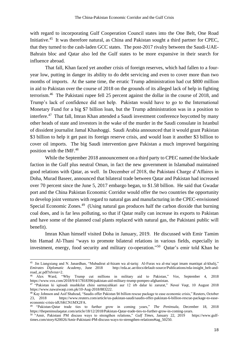with regard to incorporating Gulf Cooperation Council states into the One Belt, One Road Initiative.<sup>45</sup> It was therefore natural, as China and Pakistan sought a third partner for CPEC, that they turned to the cash-laden GCC states. The post-2017 rivalry between the Saudi-UAE-Bahrain bloc and Qatar also led the Gulf states to be more expansive in their search for influence abroad.

That fall, Khan faced yet another crisis of foreign reserves, which had fallen to a fouryear low, putting in danger its ability to do debt servicing and even to cover more than two months of imports. At the same time, the erratic Trump administration had cut \$800 million in aid to Pakistan over the course of 2018 on the grounds of its alleged lack of help in fighting terrorism.<sup>46</sup> The Pakistani rupee fell 25 percent against the dollar in the course of 2018, and Trump's lack of confidence did not help. Pakistan would have to go to the International Monetary Fund for a big \$7 billion loan, but the Trump administration was in a position to interfere.<sup>47</sup> That fall, Imran Khan attended a Saudi investment conference boycotted by many other heads of state and investors in the wake of the murder in the Saudi consulate in Istanbul of dissident journalist Jamal Khashoggi. Saudi Arabia announced that it would grant Pakistan \$3 billion to help it get past its foreign reserve crisis, and would loan it another \$3 billion to cover oil imports. The big Saudi intervention gave Pakistan a much improved bargaining position with the IMF.<sup>48</sup>

While the September 2018 announcement on a third party to CPEC named the blockade faction in the Gulf plus neutral Oman, in fact the new government in Islamabad maintained good relations with Qatar, as well. In December of 2018, the Pakistani Charge d'Affaires in Doha, Murad Baseer, announced that bilateral trade between Qatar and Pakistan had increased over 70 percent since the June 5, 2017 embargo began, to \$1.58 billion. He said that Gwadar port and the China Pakistan Economic Corridor would offer the two countries the opportunity to develop joint ventures with regard to natural gas and manufacturing in the CPEC-envisioned Special Economic Zones.<sup>49</sup> (Using natural gas produces half the carbon dioxide that burning coal does, and is far less polluting, so that if Qatar really can increase its exports to Pakistan and have some of the planned coal plants replaced with natural gas, the Pakistani public will benefit).

Imran Khan himself visited Doha in January, 2019. He discussed with Emir Tamim bin Hamad Al-Thani "ways to promote bilateral relations in various fields, especially in investment, energy, food security and military co-operation." 50 Qatar's emir told Khan he

 45 Jin Liangxiang and N. Janardhan, "Mubadirat al-hizam wa al-tariq: Al-Furas wa al-ma`uqat imam mantiqat al-khalij," *Emirates Diplomatic Academy*, June 2018 http://eda.ac.ae/docs/default-source/Publications/eda-insight\_belt-androad\_ar.pdf?sfvrsn=2.

<sup>46</sup> Alex Ward, "Why Trump cut millions in military aid to Pakistan," *Vox*, September 4, 2018 https://www.vox.com/2018/9/4/17818396/pakistan-aid-military-trump-pompeo-afghanistan.

<sup>47</sup> "Pakistan ki iqtisadi mushkilat chini sarmayahkari aur 12 irb dalar ki zarurat," *Navai Vaqt*, 10 August 2018 https://www.nawaiwaqt.com.pk/10-Aug-2018/883222.

<sup>48</sup> Kay Johnson and Asif Shahzad, "Saudis offer Pakistan \$6 billion rescue package to ease economic crisis," Reuters, October 23, 2018 https://www.reuters.com/article/us-pakistan-saudi/saudis-offer-pakistan-6-billion-rescue-package-to-easeeconomic-crisis-idUSKCN1MX2FA.

<sup>49</sup> "Pakistan-Qatar trade ties to further grow in coming years," *The Peninsula*, December 18, 2018 https://thepeninsulaqatar.com/article/18/12/2018/Pakistan-Qatar-trade-ties-to-further-grow-in-coming-years.

<sup>50</sup> "Amir, Pakistani PM discuss ways to strengthen relations," *Gulf Times*, January 22, 2019 https://www.gulftimes.com/story/620026/Amir-Pakistani-PM-discuss-ways-to-strengthen-relations#tag\_50250.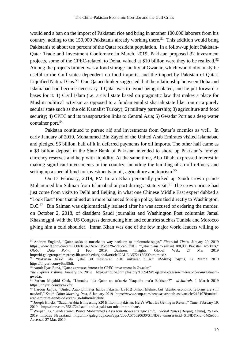would end a ban on the import of Pakistani rice and bring in another 100,000 laborers from his country, adding to the  $150,000$  Pakistanis already working there.<sup>51</sup> This addition would bring Pakistanis to about ten percent of the Qatar resident population. In a follow-up joint Pakistan-Qatar Trade and Investment Conference in March, 2019, Pakistan proposed 32 investment projects, some of the CPEC-related, to Doha, valued at \$10 billion were they to be realized.<sup>52</sup> Among the projects bruited was a food storage facility at Gwadar, which would obviously be useful to the Gulf states dependent on food imports, and the import by Pakistan of Qatari Liquified Natural Gas.<sup>53</sup> One Qatari thinker suggested that the relationship between Doha and Islamabad had become necessary if Qatar was to avoid being isolated, and he put forward x bases for it: 1) Civil Islam (i.e. a civil state based on pragmatic law that makes a place for Muslim political activism as opposed to a fundamentalist shariah state like Iran or a purely secular state such as the old Kamalist Turkey); 2) military partnership; 3) agriculture and food security; 4) CPEC and its transportation links to Central Asia; 5) Gwadar Port as a deep water container port.<sup>54</sup>

Pakistan continued to pursue aid and investments from Qatar's enemies as well. In early January of 2019, Mohammed Bin Zayed of the United Arab Emirates visited Islamabad and pledged \$6 billion, half of it in deferred payments for oil imports. The other half came as a \$3 billion deposit in the State Bank of Pakistan intended to shore up Pakistan's foreign currency reserves and help with liquidity. At the same time, Abu Dhabi expressed interest in making significant investments in the country, including the building of an oil refinery and setting up a special fund for investments in oil, agriculture and tourism.<sup>55</sup>

On 17 February, 2019, PM Imran Khan personally picked up Saudi crown prince Mohammed bin Salman from Islamabad airport during a state visit.<sup>56</sup> The crown prince had just come from visits to Delhi and Beijing, in what one Chinese Middle East expert dubbed a "Look East" tour that aimed at a more balanced foreign policy less tied directly to Washington, D.C.<sup>57</sup> Bin Salman was diplomatically isolated after he was accused of ordering the murder, on October 2, 2018, of dissident Saudi journalist and Washington Post columnist Jamal Khashogghi, with the US Congress denouncing him and countries such as Tunisia and Morocco giving him a cold shoulder. Imran Khan was one of the few major world leaders willing to

<sup>51</sup> Andrew England, "Qatar seeks to muscle its way back on to diplomatic stage," *Financial Times*, January 29, 2019 https://www.ft.com/content/560b9e3a-22e0-11e9-b329-c7e6ceb5ffdf ; "Qatar plans to recruit 100,000 Pakistani workers," *Global Data Point*, 2 Feb. 2019, Business Insights: Global. Web. 27 Mar. 2019 http://bi.galegroup.com.proxy.lib.umich.edu/global/article/GALE|A572113533?u=umuser.

<sup>52</sup> "Bakistan tu`rid `ala Qatar 30 mashru`an bi10 milyarat dular," *al-Sharq Tayms*, 12 March 2019 https://tinyurl.com/y6na95df.

<sup>53</sup> Aamir Ilyas Rana, "Qatar expresses interest in CPEC, investment in Gwadar,"

*The Express Tribune*, January 16, 2019 https://tribune.com.pk/story/1889424/1-qatar-expresses-interest-cpec-investmentgwadar.

<sup>54</sup> Farhan Mujahid Chak, "Limadha `ala Qatar an tu`azziz `ilaqatiha ma`a Bakistan?" *al-Jazirah*, 1 March 2019 https://tinyurl.com/yy42kfrc.

<sup>55</sup> Haroon Janjua, "United Arab Emirates hands Pakistan US\$6.2 billion lifeline, but 'drastic economic reforms are still needed'," *South China Morning Post*, 8 January 2019 https://www.scmp.com/news/asia/south-asia/article/2181078/unitedarab-emirates-hands-pakistan-us6-billion-lifeline.

<sup>56</sup> Joseph Hincks, "Saudi Arabia Is Investing \$20 Billion in Pakistan. Here's What It's Getting in Return," *Time*, February 19, 2019 http://time.com/5531724/saudi-arabia-pakistan-mbs-imran-khan/.

<sup>57</sup> Weijian, Li. "Saudi Crown Prince Mohammed's Asia tour shows strategic shift," *Global Times* [Beijing, China], 25 Feb. 2019. Infotrac Newsstand, http://link.galegroup.com/apps/doc/A575620630/STND?u=umuser&sid=STND&xid=04d5e60f. Accessed 27 Mar. 2019.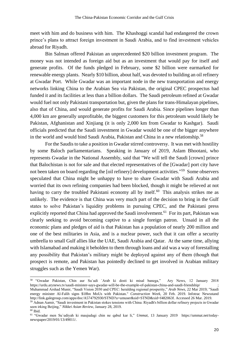meet with him and do business with him. The Khashoggi scandal had endangered the crown prince's plans to attract foreign investment in Saudi Arabia, and to find investment vehicles abroad for Riyadh.

Bin Salman offered Pakistan an unprecedented \$20 billion investment program. The money was not intended as foreign aid but as an investment that would pay for itself and generate profits. Of the funds pledged in February, some \$2 billion were earmarked for renewable energy plants. Nearly \$10 billion, about half, was devoted to building an oil refinery at Gwadar Port. While Gwadar was an important node in the new transportation and energy networks linking China to the Arabian Sea via Pakistan, the original CPEC prospectus had funded it and its facilities at less than a billion dollars. The Saudi petroleum refined at Gwadar would fuel not only Pakistani transportation but, given the plans for trans-Himalayan pipelines, also that of China, and would generate profits for Saudi Arabia. Since pipelines longer than 4,000 km are generally unprofitable, the biggest customers for this petroleum would likely be Pakistan, Afghanistan and Xinjiang (it is only 2,000 km from Gwadar to Kashgar). Saudi officials predicted that the Saudi investment in Gwadar would be one of the bigger anywhere in the world and would bind Saudi Arabia, Pakistan and China in a new relationship.<sup>58</sup>

For the Saudis to take a position in Gwadar stirred controversy. It was met with hostility by some Baloch parliamentarians. Speaking in January of 2019, Aslam Bhootani, who represents Gwadar in the National Assembly, said that "We will tell the Saudi [crown] prince that Balochistan is not for sale and that elected representatives of the [Gwadar] port city have not been taken on board regarding the [oil refinery] development activities."<sup>59</sup> Some observers speculated that China might be unhappy to have to share Gwadar with Saudi Arabia and worried that its own refining companies had been blocked, though it might be relieved at not having to carry the troubled Pakistani economy all by itself.<sup>60</sup> This analysis strikes me as unlikely. The evidence is that China was very much part of the decision to bring in the Gulf states to solve Pakistan's liquidity problems in pursuing CPEC, and the Pakistani press explicitly reported that China had approved the Saudi involvement.<sup>61</sup> For its part, Pakistan was clearly seeking to avoid becoming captive to a single foreign patron. Unsaid in all the economic plans and pledges of aid is that Pakistan has a population of nearly 200 million and one of the best militaries in Asia, and is a nuclear power, such that it can offer a security umbrella to small Gulf allies like the UAE, Saudi Arabia and Qatar. At the same time, allying with Islamabad and making it beholden to them through loans and aid was a way of forestalling any possibility that Pakistan's military might be deployed against any of them (though that prospect is remote, and Pakistan has pointedly declined to get involved in Arabian military struggles such as the Yemen War).

<sup>58</sup> "Gwadar Pakistan, Chin aur Su`udi `Arab ki dosti ki misal banega," Ary News, 12 January 2018 https://urdu.arynews.tv/saudi-minister-says-gwadar-will-be-the-example-of-pakistan-china-and-saudi-friendship/ ; Muhammad Arshad Munir, "Saudi Vision 2030 and CPEC: heralding regional prosperity," *Arab News*, 22 Mar 2019; "Saudi energy minister Al-Falih signs \$18bn MoUs with Pakistan." *Construction Week*, 20 Feb. 2019. Infotrac Newsstand http://link.galegroup.com/apps/doc/A574792930/STND?u=umuser&sid=STND&xid=f482063f. Accessed 26 Mar. 2019.

<sup>59</sup> Adnan Aamir, "Saudi investment in Pakistan stokes tensions with China: Riyadh's billion dollar refinery projects in Gwadar seen irking Beijing," *Nikkei Asian Review*, January 28, 2019.

 $60$  Ibid.

<sup>61</sup> "Gwadar men Su`udiyah ki maujudagi chin ne qabul kar li," *Ummat*, 13 January 2019 https://ummat.net/todaynewspaper/2019/01/13/49011/.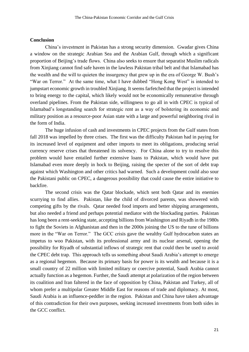#### **Conclusion**

China's investment in Pakistan has a strong security dimension. Gwadar gives China a window on the strategic Arabian Sea and the Arabian Gulf, through which a significant proportion of Beijing's trade flows. China also seeks to ensure that separatist Muslim radicals from Xinjiang cannot find safe haven in the lawless Pakistan tribal belt and that Islamabad has the wealth and the will to quieten the insurgency that grew up in the era of George W. Bush's "War on Terror." At the same time, what I have dubbed "Hong Kong West" is intended to jumpstart economic growth in troubled Xinjiang. It seems farfetched that the project is intended to bring energy to the capital, which likely would not be economically remunerative through overland pipelines. From the Pakistan side, willingness to go all in with CPEC is typical of Islamabad's longstanding search for strategic rent as a way of bolstering its economic and military position as a resource-poor Asian state with a large and powerful neighboring rival in the form of India.

The huge infusion of cash and investments in CPEC projects from the Gulf states from fall 2018 was impelled by three crises. The first was the difficulty Pakistan had in paying for its increased level of equipment and other imports to meet its obligations, producing serial currency reserve crises that threatened its solvency. For China alone to try to resolve this problem would have entailed further extensive loans to Pakistan, which would have put Islamabad even more deeply in hock to Beijing, raising the specter of the sort of debt trap against which Washington and other critics had warned. Such a development could also sour the Pakistani public on CPEC, a dangerous possibility that could cause the entire initiative to backfire.

The second crisis was the Qatar blockade, which sent both Qatar and its enemies scurrying to find allies. Pakistan, like the child of divorced parents, was showered with competing gifts by the rivals. Qatar needed food imports and better shipping arrangements, but also needed a friend and perhaps potential mediator with the blockading parties. Pakistan has long been a rent-seeking state, accepting billions from Washington and Riyadh in the 1980s to fight the Soviets in Afghanistan and then in the 2000s joining the US to the tune of billions more in the "War on Terror." The GCC crisis gave the wealthy Gulf hydrocarbon states an impetus to woo Pakistan, with its professional army and its nuclear arsenal, opening the possibility for Riyadh of substantial inflows of strategic rent that could then be used to avoid the CPEC debt trap. This approach tells us something about Saudi Arabia's attempt to emerge as a regional hegemon. Because its primary basis for power is its wealth and because it is a small country of 22 million with limited military or coercive potential, Saudi Arabia cannot actually function as a hegemon. Further, the Saudi attempt at polarization of the region between its coalition and Iran faltered in the face of opposition by China, Pakistan and Turkey, all of whom prefer a multipolar Greater Middle East for reasons of trade and diplomacy. At most, Saudi Arabia is an influence-peddler in the region. Pakistan and China have taken advantage of this contradiction for their own purposes, seeking increased investments from both sides in the GCC conflict.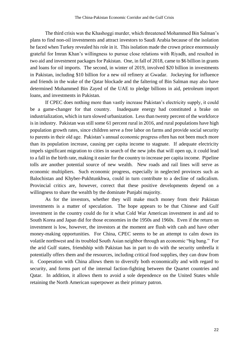The third crisis was the Khashoggi murder, which threatened Mohammed Bin Salman's plans to find non-oil investments and attract investors to Saudi Arabia because of the isolation he faced when Turkey revealed his role in it. This isolation made the crown prince enormously grateful for Imran Khan's willingness to pursue close relations with Riyadh, and resulted in two aid and investment packages for Pakistan. One, in fall of 2018, came to \$6 billion in grants and loans for oil imports. The second, in winter of 2019, involved \$20 billion in investments in Pakistan, including \$10 billion for a new oil refinery at Gwadar. Jockeying for influence and friends in the wake of the Qatar blockade and the faltering of Bin Salman may also have determined Mohammed Bin Zayed of the UAE to pledge billions in aid, petroleum import loans, and investments in Pakistan.

If CPEC does nothing more than vastly increase Pakistan's electricity supply, it could be a game-changer for that country. Inadequate energy had constituted a brake on industrialization, which in turn slowed urbanization. Less than twenty percent of the workforce is in industry. Pakistan was still some 61 percent rural in 2016, and rural populations have high population growth rates, since children serve a free labor on farms and provide social security to parents in their old age. Pakistan's annual economic progress often has not been much more than its population increase, causing per capita income to stagnate. If adequate electricity impels significant migration to cities in search of the new jobs that will open up, it could lead to a fall in the birth rate, making it easier for the country to increase per capita income. Pipeline tolls are another potential source of new wealth. New roads and rail lines will serve as economic multipliers. Such economic progress, especially in neglected provinces such as Balochistan and Khyber-Pukhtunkhwa, could in turn contribute to a decline of radicalism. Provincial critics are, however, correct that these positive developments depend on a willingness to share the wealth by the dominate Punjabi majority.

As for the investors, whether they will make much money from their Pakistan investments is a matter of speculation. The hope appears to be that Chinese and Gulf investment in the country could do for it what Cold War American investment in and aid to South Korea and Japan did for those economies in the 1950s and 1960s. Even if the return on investment is low, however, the investors at the moment are flush with cash and have other money-making opportunities. For China, CPEC seems to be an attempt to calm down its volatile northwest and its troubled South Asian neighbor through an economic "big bang." For the arid Gulf states, friendship with Pakistan has in part to do with the security umbrella it potentially offers them and the resources, including critical food supplies, they can draw from it. Cooperation with China allows them to diversify both economically and with regard to security, and forms part of the internal faction-fighting between the Quartet countries and Qatar. In addition, it allows them to avoid a sole dependence on the United States while retaining the North American superpower as their primary patron.